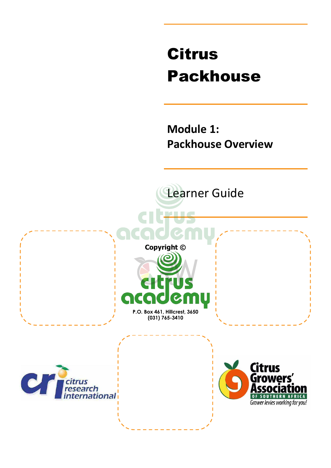# Citrus Packhouse

**Module 1: Packhouse Overview**

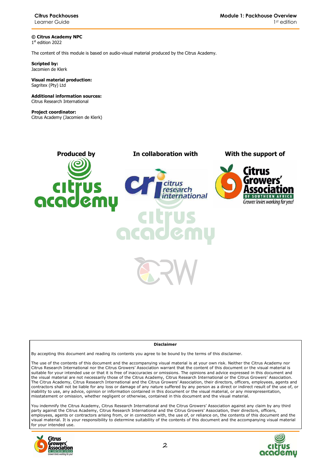**© Citrus Academy NPC**  1 st edition 2022

The content of this module is based on audio-visual material produced by the Citrus Academy.

**Scripted by:**  Jacomien de Klerk

#### **Visual material production:**  Sagritex (Pty) Ltd

**Additional information sources:**  Citrus Research International

**Project coordinator:** Citrus Academy (Jacomien de Klerk)



#### **Disclaimer**

By accepting this document and reading its contents you agree to be bound by the terms of this disclaimer.

The use of the contents of this document and the accompanying visual material is at your own risk. Neither the Citrus Academy nor Citrus Research International nor the Citrus Growers' Association warrant that the content of this document or the visual material is suitable for your intended use or that it is free of inaccuracies or omissions. The opinions and advice expressed in this document and the visual material are not necessarily those of the Citrus Academy, Citrus Research International or the Citrus Growers' Association. The Citrus Academy, Citrus Research International and the Citrus Growers' Association, their directors, officers, employees, agents and contractors shall not be liable for any loss or damage of any nature suffered by any person as a direct or indirect result of the use of, or inability to use, any advice, opinion or information contained in this document or the visual material, or any misrepresentation, misstatement or omission, whether negligent or otherwise, contained in this document and the visual material.

You indemnify the Citrus Academy, Citrus Research International and the Citrus Growers' Association against any claim by any third party against the Citrus Academy, Citrus Research International and the Citrus Growers' Association, their directors, officers, employees, agents or contractors arising from, or in connection with, the use of, or reliance on, the contents of this document and the visual material. It is your responsibility to determine suitability of the contents of this document and the accompanying visual material for your intended use.



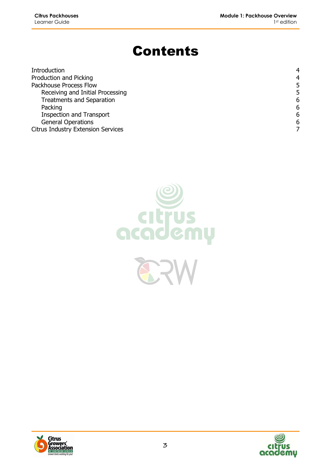## Contents

| Introduction                              | 4 |
|-------------------------------------------|---|
| Production and Picking                    | 4 |
| Packhouse Process Flow                    | 5 |
| Receiving and Initial Processing          | 5 |
| <b>Treatments and Separation</b>          | 6 |
| Packing                                   | 6 |
| <b>Inspection and Transport</b>           | 6 |
| <b>General Operations</b>                 | 6 |
| <b>Citrus Industry Extension Services</b> |   |





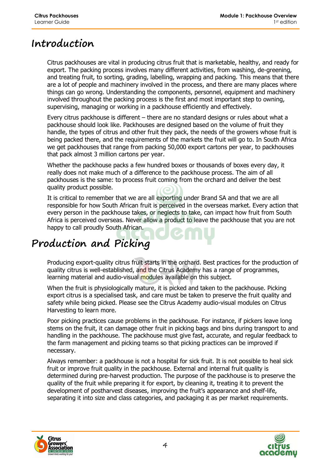#### **Introduction**

Citrus packhouses are vital in producing citrus fruit that is marketable, healthy, and ready for export. The packing process involves many different activities, from washing, de-greening, and treating fruit, to sorting, grading, labelling, wrapping and packing. This means that there are a lot of people and machinery involved in the process, and there are many places where things can go wrong. Understanding the components, personnel, equipment and machinery involved throughout the packing process is the first and most important step to owning, supervising, managing or working in a packhouse efficiently and effectively.

Every citrus packhouse is different – there are no standard designs or rules about what a packhouse should look like. Packhouses are designed based on the volume of fruit they handle, the types of citrus and other fruit they pack, the needs of the growers whose fruit is being packed there, and the requirements of the markets the fruit will go to. In South Africa we get packhouses that range from packing 50,000 export cartons per year, to packhouses that pack almost 3 million cartons per year.

Whether the packhouse packs a few hundred boxes or thousands of boxes every day, it really does not make much of a difference to the packhouse process. The aim of all packhouses is the same: to process fruit coming from the orchard and deliver the best quality product possible.

It is critical to remember that we are all exporting under Brand SA and that we are all responsible for how South African fruit is perceived in the overseas market. Every action that every person in the packhouse takes, or neglects to take, can impact how fruit from South Africa is perceived overseas. Never allow a product to leave the packhouse that you are not happy to call proudly South African.

### **Production and Picking**

Producing export-quality citrus fruit starts in the orchard. Best practices for the production of quality citrus is well-established, and the Citrus Academy has a range of programmes, learning material and audio-visual modules available on this subject.

When the fruit is physiologically mature, it is picked and taken to the packhouse. Picking export citrus is a specialised task, and care must be taken to preserve the fruit quality and safety while being picked. Please see the Citrus Academy audio-visual modules on Citrus Harvesting to learn more.

Poor picking practices cause problems in the packhouse. For instance, if pickers leave long stems on the fruit, it can damage other fruit in picking bags and bins during transport to and handling in the packhouse. The packhouse must give fast, accurate, and regular feedback to the farm management and picking teams so that picking practices can be improved if necessary.

Always remember: a packhouse is not a hospital for sick fruit. It is not possible to heal sick fruit or improve fruit quality in the packhouse. External and internal fruit quality is determined during pre-harvest production. The purpose of the packhouse is to preserve the quality of the fruit while preparing it for export, by cleaning it, treating it to prevent the development of postharvest diseases, improving the fruit's appearance and shelf-life, separating it into size and class categories, and packaging it as per market requirements.



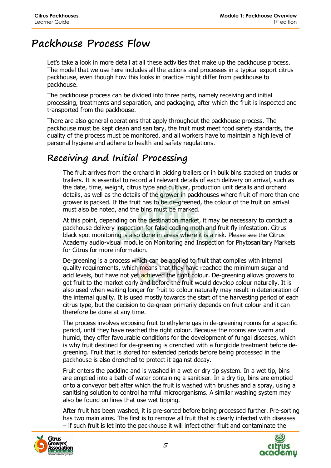#### **Packhouse Process Flow**

Let's take a look in more detail at all these activities that make up the packhouse process. The model that we use here includes all the actions and processes in a typical export citrus packhouse, even though how this looks in practice might differ from packhouse to packhouse.

The packhouse process can be divided into three parts, namely receiving and initial processing, treatments and separation, and packaging, after which the fruit is inspected and transported from the packhouse.

There are also general operations that apply throughout the packhouse process. The packhouse must be kept clean and sanitary, the fruit must meet food safety standards, the quality of the process must be monitored, and all workers have to maintain a high level of personal hygiene and adhere to health and safety regulations.

#### **Receiving and Initial Processing**

The fruit arrives from the orchard in picking trailers or in bulk bins stacked on trucks or trailers. It is essential to record all relevant details of each delivery on arrival, such as the date, time, weight, citrus type and cultivar, production unit details and orchard details, as well as the details of the grower in packhouses where fruit of more than one grower is packed. If the fruit has to be de-greened, the colour of the fruit on arrival must also be noted, and the bins must be marked.

At this point, depending on the destination market, it may be necessary to conduct a packhouse delivery inspection for false codling moth and fruit fly infestation. Citrus black spot monitoring is also done in areas where it is a risk. Please see the Citrus Academy audio-visual module on Monitoring and Inspection for Phytosanitary Markets for Citrus for more information.

De-greening is a process which can be applied to fruit that complies with internal quality requirements, which means that they have reached the minimum sugar and acid levels, but have not yet achieved the right colour. De-greening allows growers to get fruit to the market early and before the fruit would develop colour naturally. It is also used when waiting longer for fruit to colour naturally may result in deterioration of the internal quality. It is used mostly towards the start of the harvesting period of each citrus type, but the decision to de-green primarily depends on fruit colour and it can therefore be done at any time.

The process involves exposing fruit to ethylene gas in de-greening rooms for a specific period, until they have reached the right colour. Because the rooms are warm and humid, they offer favourable conditions for the development of fungal diseases, which is why fruit destined for de-greening is drenched with a fungicide treatment before degreening. Fruit that is stored for extended periods before being processed in the packhouse is also drenched to protect it against decay.

Fruit enters the packline and is washed in a wet or dry tip system. In a wet tip, bins are emptied into a bath of water containing a sanitiser. In a dry tip, bins are emptied onto a conveyor belt after which the fruit is washed with brushes and a spray, using a sanitising solution to control harmful microorganisms. A similar washing system may also be found on lines that use wet tipping.

After fruit has been washed, it is pre-sorted before being processed further. Pre-sorting has two main aims. The first is to remove all fruit that is clearly infected with diseases – if such fruit is let into the packhouse it will infect other fruit and contaminate the



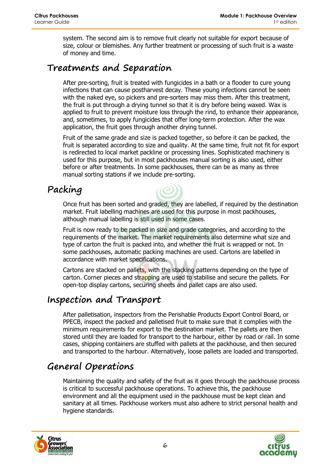system. The second aim is to remove fruit clearly not suitable for export because of size, colour or blemishes. Any further treatment or processing of such fruit is a waste of money and time.

#### **Treatments and Separation**

After pre-sorting, fruit is treated with fungicides in a bath or a flooder to cure young infections that can cause postharvest decay. These young infections cannot be seen with the naked eye, so pickers and pre-sorters may miss them. After this treatment, the fruit is put through a drying tunnel so that it is dry before being waxed. Wax is applied to fruit to prevent moisture loss through the rind, to enhance their appearance, and, sometimes, to apply fungicides that offer long-term protection. After the wax application, the fruit goes through another drying tunnel.

Fruit of the same grade and size is packed together, so before it can be packed, the fruit is separated according to size and quality. At the same time, fruit not fit for export is redirected to local market packline or processing lines. Sophisticated machinery is used for this purpose, but in most packhouses manual sorting is also used, either before or after treatments. In some packhouses, there can be as many as three manual sorting stations if we include pre-sorting.

#### **Packing**

Once fruit has been sorted and graded, they are labelled, if required by the destination market. Fruit labelling machines are used for this purpose in most packhouses, although manual labelling is still used in some cases.

Fruit is now ready to be packed in size and grade categories, and according to the requirements of the market. The market requirements also determine what size and type of carton the fruit is packed into, and whether the fruit is wrapped or not. In some packhouses, automatic packing machines are used. Cartons are labelled in accordance with market specifications.

Cartons are stacked on pallets, with the stacking patterns depending on the type of carton. Corner pieces and strapping are used to stabilise and secure the pallets. For open-top display cartons, securing sheets and pallet caps are also used.

#### **Inspection and Transport**

After palletisation, inspectors from the Perishable Products Export Control Board, or PPECB, inspect the packed and palletised fruit to make sure that it complies with the minimum requirements for export to the destination market. The pallets are then stored until they are loaded for transport to the harbour, either by road or rail. In some cases, shipping containers are stuffed with pallets at the packhouse, and then secured and transported to the harbour. Alternatively, loose pallets are loaded and transported.

#### **General Operations**

Maintaining the quality and safety of the fruit as it goes through the packhouse process is critical to successful packhouse operations. To achieve this, the packhouse environment and all the equipment used in the packhouse must be kept clean and sanitary at all times. Packhouse workers must also adhere to strict personal health and hygiene standards.